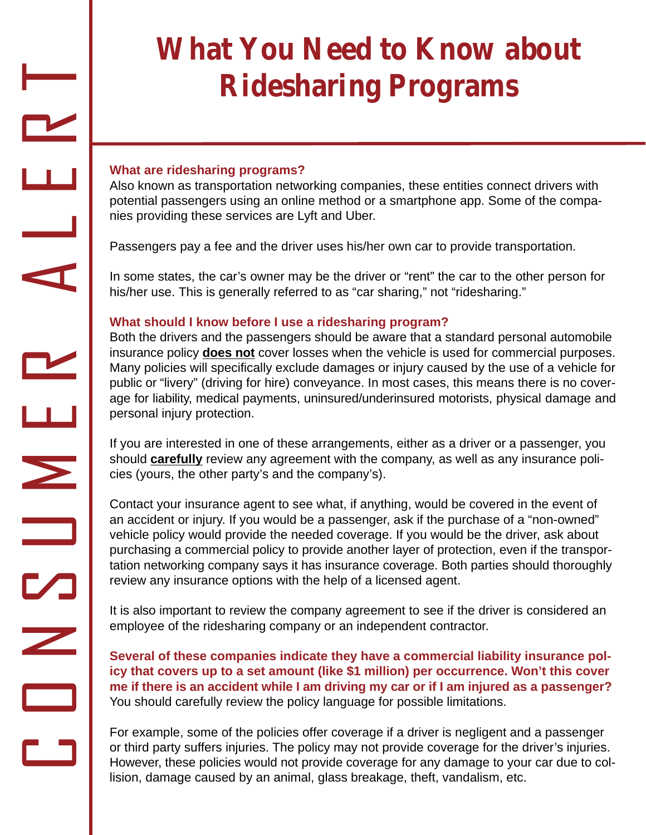# **What You Need to Know about Ridesharing Programs**

### **What are ridesharing programs?**

 $\Box$ 

O

N

 $\mathbf{C}$ 

U

 $\bm{\Sigma}$ 

E

R

A

L

E

R

 $\overline{\phantom{0}}$ 

Also known as transportation networking companies, these entities connect drivers with potential passengers using an online method or a smartphone app. Some of the companies providing these services are Lyft and Uber.

Passengers pay a fee and the driver uses his/her own car to provide transportation.

In some states, the car's owner may be the driver or "rent" the car to the other person for his/her use. This is generally referred to as "car sharing," not "ridesharing."

## **What should I know before I use a ridesharing program?**

Both the drivers and the passengers should be aware that a standard personal automobile insurance policy **does not** cover losses when the vehicle is used for commercial purposes. Many policies will specifically exclude damages or injury caused by the use of a vehicle for public or "livery" (driving for hire) conveyance. In most cases, this means there is no coverage for liability, medical payments, uninsured/underinsured motorists, physical damage and personal injury protection.

If you are interested in one of these arrangements, either as a driver or a passenger, you should **carefully** review any agreement with the company, as well as any insurance policies (yours, the other party's and the company's).

Contact your insurance agent to see what, if anything, would be covered in the event of an accident or injury. If you would be a passenger, ask if the purchase of a "non-owned" vehicle policy would provide the needed coverage. If you would be the driver, ask about purchasing a commercial policy to provide another layer of protection, even if the transportation networking company says it has insurance coverage. Both parties should thoroughly review any insurance options with the help of a licensed agent.

It is also important to review the company agreement to see if the driver is considered an employee of the ridesharing company or an independent contractor.

**Several of these companies indicate they have a commercial liability insurance policy that covers up to a set amount (like \$1 million) per occurrence. Won't this cover**  me if there is an accident while I am driving my car or if I am injured as a passenger? You should carefully review the policy language for possible limitations.

For example, some of the policies offer coverage if a driver is negligent and a passenger or third party suffers injuries. The policy may not provide coverage for the driver's injuries. However, these policies would not provide coverage for any damage to your car due to collision, damage caused by an animal, glass breakage, theft, vandalism, etc.